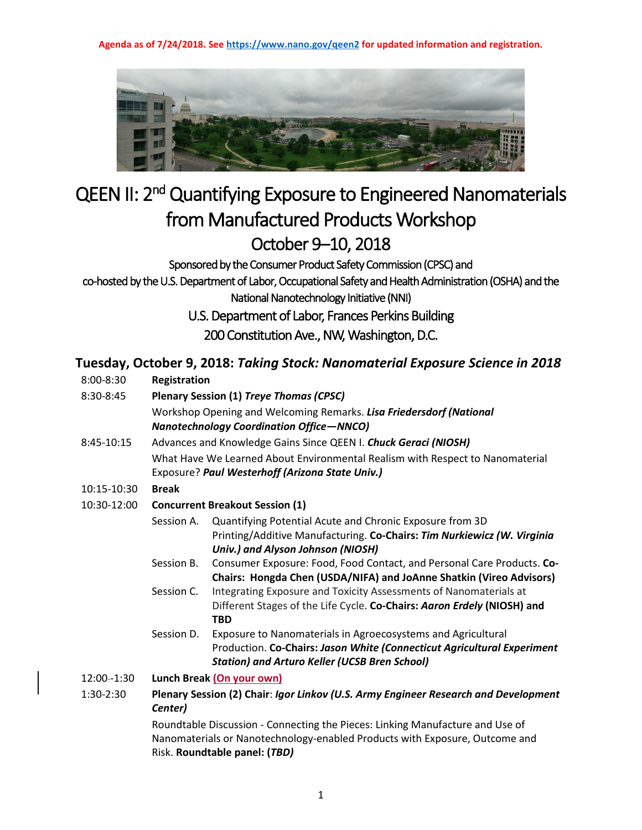**Agenda as of 7/24/2018. See<https://www.nano.gov/qeen2> for updated information and registration.**



## QEEN II: 2<sup>nd</sup> Quantifying Exposure to Engineered Nanomaterials from Manufactured Products Workshop October 9–10, 2018<br>Sponsored by the Consumer Product Safety Commission (CPSC) and

co-hosted by the U.S. Department of Labor, Occupational Safety and Health Administration (OSHA) and the National Nanotechnology Initiative (NNI)

U.S. Department of Labor, Frances Perkins Building

200 Constitution Ave., NW, Washington, D.C.

## **Tuesday, October 9, 2018:** *Taking Stock: Nanomaterial Exposure Science in 2018*

- 8:00-8:30 **Registration**
- 8:30-8:45 **Plenary Session (1)** *Treye Thomas (CPSC)* Workshop Opening and Welcoming Remarks. *Lisa Friedersdorf (National Nanotechnology Coordination Office—NNCO)*
- 8:45-10:15 Advances and Knowledge Gains Since QEEN I. *Chuck Geraci (NIOSH)* What Have We Learned About Environmental Realism with Respect to Nanomaterial Exposure? *Paul Westerhoff (Arizona State Univ.)*
- 10:15-10:30 **Break**
- 10:30-12:00 **Concurrent Breakout Session (1)**
	- Session A. Quantifying Potential Acute and Chronic Exposure from 3D Printing/Additive Manufacturing. **Co-Chairs:** *Tim Nurkiewicz (W. Virginia Univ.) and Alyson Johnson (NIOSH)*
	- Session B. Consumer Exposure: Food, Food Contact, and Personal Care Products. **Co-Chairs: Hongda Chen (USDA/NIFA) and JoAnne Shatkin (Vireo Advisors)**
	- Session C. Integrating Exposure and Toxicity Assessments of Nanomaterials at Different Stages of the Life Cycle. **Co-Chairs:** *Aaron Erdely* **(NIOSH) and TBD**
	- Session D. Exposure to Nanomaterials in Agroecosystems and Agricultural Production. **Co-Chairs:** *Jason White (Connecticut Agricultural Experiment Station) and Arturo Keller (UCSB Bren School)*
- 12:00 -1:30 **Lunch Break (On your own)**
- 1:30-2:30 **Plenary Session (2) Chair**: *Igor Linkov (U.S. Army Engineer Research and Development Center)*

Roundtable Discussion - Connecting the Pieces: Linking Manufacture and Use of Nanomaterials or Nanotechnology-enabled Products with Exposure, Outcome and Risk. **Roundtable panel: (***TBD)*